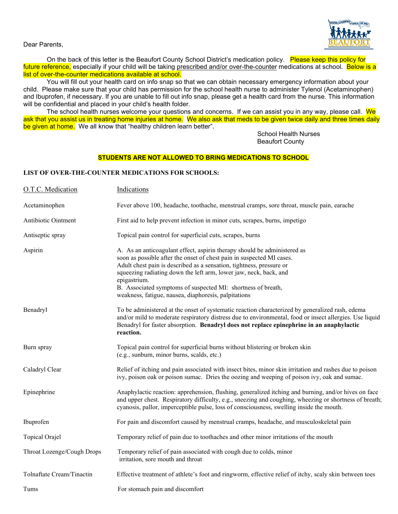

Dear Parents,

On the back of this letter is the Beaufort County School District's medication policy. Please keep this policy for future reference, especially if your child will be taking prescribed and/or over-the-counter medications at school. Below is a list of over-the-counter medications available at school.

You will fill out your health card on info snap so that we can obtain necessary emergency information about your child. Please make sure that your child has permission for the school health nurse to administer Tylenol (Acetaminophen) and Ibuprofen, if necessary. If you are unable to fill out info snap, please get a health card from the nurse. This information will be confidential and placed in your child's health folder.

The school health nurses welcome your questions and concerns. If we can assist you in any way, please call. We ask that you assist us in treating home injuries at home. We also ask that meds to be given twice daily and three times daily be given at home. We all know that "healthy children learn better".

> School Health Nurses Beaufort County

## **STUDENTS ARE NOT ALLOWED TO BRING MEDICATIONS TO SCHOOL**

## **LIST OF OVER-THE-COUNTER MEDICATIONS FOR SCHOOLS:**

| O.T.C. Medication          | Indications                                                                                                                                                                                                                                                                                                                                                                                                                            |
|----------------------------|----------------------------------------------------------------------------------------------------------------------------------------------------------------------------------------------------------------------------------------------------------------------------------------------------------------------------------------------------------------------------------------------------------------------------------------|
| Acetaminophen              | Fever above 100, headache, toothache, menstrual cramps, sore throat, muscle pain, earache                                                                                                                                                                                                                                                                                                                                              |
| Antibiotic Ointment        | First aid to help prevent infection in minor cuts, scrapes, burns, impetigo                                                                                                                                                                                                                                                                                                                                                            |
| Antiseptic spray           | Topical pain control for superficial cuts, scrapes, burns                                                                                                                                                                                                                                                                                                                                                                              |
| Aspirin                    | A. As an anticoagulant effect, aspirin therapy should be administered as<br>soon as possible after the onset of chest pain in suspected MI cases.<br>Adult chest pain is described as a sensation, tightness, pressure or<br>squeezing radiating down the left arm, lower jaw, neck, back, and<br>epigastrium.<br>B. Associated symptoms of suspected MI: shortness of breath,<br>weakness, fatigue, nausea, diaphoresis, palpitations |
| Benadryl                   | To be administered at the onset of systematic reaction characterized by generalized rash, edema<br>and/or mild to moderate respiratory distress due to environmental, food or insect allergies. Use liquid<br>Benadryl for faster absorption. Benadryl does not replace epinephrine in an anaphylactic<br>reaction.                                                                                                                    |
| Burn spray                 | Topical pain control for superficial burns without blistering or broken skin<br>(e.g., sunburn, minor burns, scalds, etc.)                                                                                                                                                                                                                                                                                                             |
| Caladryl Clear             | Relief of itching and pain associated with insect bites, minor skin irritation and rashes due to poison<br>ivy, poison oak or poison sumac. Dries the oozing and weeping of poison ivy, oak and sumac.                                                                                                                                                                                                                                 |
| Epinephrine                | Anaphylactic reaction: apprehension, flushing, generalized itching and burning, and/or hives on face<br>and upper chest. Respiratory difficulty, e.g., sneezing and coughing, wheezing or shortness of breath;<br>cyanosis, pallor, imperceptible pulse, loss of consciousness, swelling inside the mouth.                                                                                                                             |
| Ibuprofen                  | For pain and discomfort caused by menstrual cramps, headache, and musculoskeletal pain                                                                                                                                                                                                                                                                                                                                                 |
| Topical Orajel             | Temporary relief of pain due to toothaches and other minor irritations of the mouth                                                                                                                                                                                                                                                                                                                                                    |
| Throat Lozenge/Cough Drops | Temporary relief of pain associated with cough due to colds, minor<br>irritation, sore mouth and throat                                                                                                                                                                                                                                                                                                                                |
| Tolnaftate Cream/Tinactin  | Effective treatment of athlete's foot and ringworm, effective relief of itchy, scaly skin between toes                                                                                                                                                                                                                                                                                                                                 |
| Tums                       | For stomach pain and discomfort                                                                                                                                                                                                                                                                                                                                                                                                        |